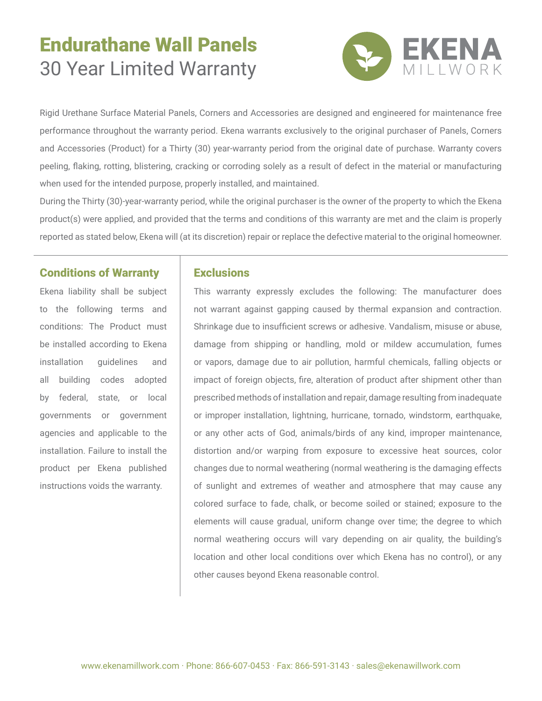# Endurathane Wall Panels 30 Year Limited Warranty



Rigid Urethane Surface Material Panels, Corners and Accessories are designed and engineered for maintenance free performance throughout the warranty period. Ekena warrants exclusively to the original purchaser of Panels, Corners and Accessories (Product) for a Thirty (30) year-warranty period from the original date of purchase. Warranty covers peeling, flaking, rotting, blistering, cracking or corroding solely as a result of defect in the material or manufacturing when used for the intended purpose, properly installed, and maintained.

During the Thirty (30)-year-warranty period, while the original purchaser is the owner of the property to which the Ekena product(s) were applied, and provided that the terms and conditions of this warranty are met and the claim is properly reported as stated below, Ekena will (at its discretion) repair or replace the defective material to the original homeowner.

#### Conditions of Warranty

Ekena liability shall be subject to the following terms and conditions: The Product must be installed according to Ekena installation guidelines and all building codes adopted by federal, state, or local governments or government agencies and applicable to the installation. Failure to install the product per Ekena published instructions voids the warranty.

#### **Exclusions**

This warranty expressly excludes the following: The manufacturer does not warrant against gapping caused by thermal expansion and contraction. Shrinkage due to insufficient screws or adhesive. Vandalism, misuse or abuse, damage from shipping or handling, mold or mildew accumulation, fumes or vapors, damage due to air pollution, harmful chemicals, falling objects or impact of foreign objects, fire, alteration of product after shipment other than prescribed methods of installation and repair, damage resulting from inadequate or improper installation, lightning, hurricane, tornado, windstorm, earthquake, or any other acts of God, animals/birds of any kind, improper maintenance, distortion and/or warping from exposure to excessive heat sources, color changes due to normal weathering (normal weathering is the damaging effects of sunlight and extremes of weather and atmosphere that may cause any colored surface to fade, chalk, or become soiled or stained; exposure to the elements will cause gradual, uniform change over time; the degree to which normal weathering occurs will vary depending on air quality, the building's location and other local conditions over which Ekena has no control), or any other causes beyond Ekena reasonable control.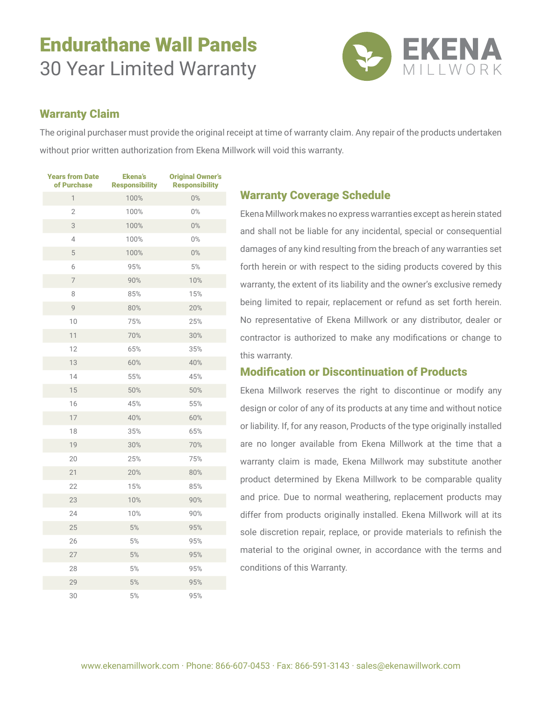# Endurathane Wall Panels 30 Year Limited Warranty



## Warranty Claim

The original purchaser must provide the original receipt at time of warranty claim. Any repair of the products undertaken without prior written authorization from Ekena Millwork will void this warranty.

| <b>Years from Date</b><br>of Purchase | <b>Ekena's</b><br><b>Responsibility</b> | <b>Original Owner's</b><br><b>Responsibility</b> |
|---------------------------------------|-----------------------------------------|--------------------------------------------------|
| $\mathbf{1}$                          | 100%                                    | $0\%$                                            |
| $\overline{2}$                        | 100%                                    | $0\%$                                            |
| 3                                     | 100%                                    | $0\%$                                            |
| 4                                     | 100%                                    | $0\%$                                            |
| 5                                     | 100%                                    | $0\%$                                            |
| 6                                     | 95%                                     | 5%                                               |
| $\overline{7}$                        | 90%                                     | 10%                                              |
| 8                                     | 85%                                     | 15%                                              |
| 9                                     | 80%                                     | 20%                                              |
| 10                                    | 75%                                     | 25%                                              |
| 11                                    | 70%                                     | 30%                                              |
| 12                                    | 65%                                     | 35%                                              |
| 13                                    | 60%                                     | 40%                                              |
| 14                                    | 55%                                     | 45%                                              |
| 15                                    | 50%                                     | 50%                                              |
| 16                                    | 45%                                     | 55%                                              |
| 17                                    | 40%                                     | 60%                                              |
| 18                                    | 35%                                     | 65%                                              |
| 19                                    | 30%                                     | 70%                                              |
| 20                                    | 25%                                     | 75%                                              |
| 21                                    | 20%                                     | 80%                                              |
| 22                                    | 15%                                     | 85%                                              |
| 23                                    | 10%                                     | 90%                                              |
| 24                                    | 10%                                     | 90%                                              |
| 25                                    | $5\%$                                   | $95%$                                            |
| 26                                    | 5%                                      | 95%                                              |
| 27                                    | 5%                                      | 95%                                              |
| 28                                    | $5\%$                                   | 95%                                              |
| 29                                    | 5%                                      | 95%                                              |
| 30                                    | 5%                                      | 95%                                              |

### Warranty Coverage Schedule

Ekena Millwork makes no express warranties except as herein stated and shall not be liable for any incidental, special or consequential damages of any kind resulting from the breach of any warranties set forth herein or with respect to the siding products covered by this warranty, the extent of its liability and the owner's exclusive remedy being limited to repair, replacement or refund as set forth herein. No representative of Ekena Millwork or any distributor, dealer or contractor is authorized to make any modifications or change to this warranty.

## Modification or Discontinuation of Products

Ekena Millwork reserves the right to discontinue or modify any design or color of any of its products at any time and without notice or liability. If, for any reason, Products of the type originally installed are no longer available from Ekena Millwork at the time that a warranty claim is made, Ekena Millwork may substitute another product determined by Ekena Millwork to be comparable quality and price. Due to normal weathering, replacement products may differ from products originally installed. Ekena Millwork will at its sole discretion repair, replace, or provide materials to refinish the material to the original owner, in accordance with the terms and conditions of this Warranty.